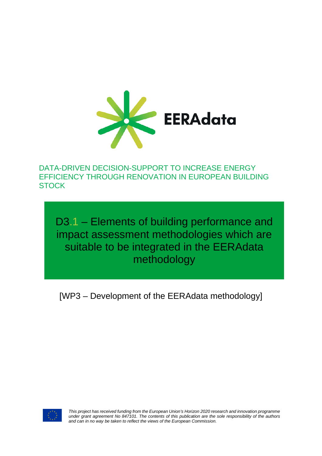

DATA-DRIVEN DECISION-SUPPORT TO INCREASE ENERGY EFFICIENCY THROUGH RENOVATION IN EUROPEAN BUILDING **STOCK** 

D3.1 – Elements of building performance and impact assessment methodologies which are suitable to be integrated in the EERAdata methodology

[WP3 – Development of the EERAdata methodology]



*This project has received funding from the European Union's Horizon 2020 research and innovation programme under grant agreement No 847101. The contents of this publication are the sole responsibility of the authors and can in no way be taken to reflect the views of the European Commission.*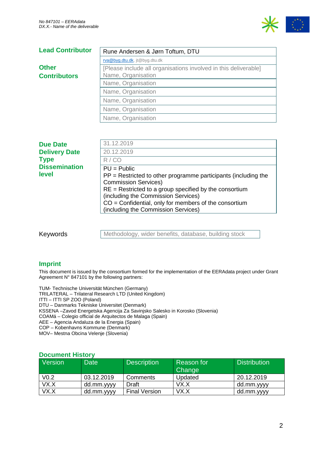

| <b>Lead Contributor</b> | Rune Andersen & Jørn Toftum, DTU                                |  |  |
|-------------------------|-----------------------------------------------------------------|--|--|
|                         | rva@byg.dtu.dk, jt@byg.dtu.dk                                   |  |  |
| <b>Other</b>            | [Please include all organisations involved in this deliverable] |  |  |
| <b>Contributors</b>     | Name, Organisation                                              |  |  |
|                         | Name, Organisation                                              |  |  |
|                         | Name, Organisation                                              |  |  |
|                         | Name, Organisation                                              |  |  |
|                         | Name, Organisation                                              |  |  |
|                         | Name, Organisation                                              |  |  |

| <b>Due Date</b>               | 31.12.2019                                                                                                                                                                                                                                                                                                            |
|-------------------------------|-----------------------------------------------------------------------------------------------------------------------------------------------------------------------------------------------------------------------------------------------------------------------------------------------------------------------|
| <b>Delivery Date</b>          | 20.12.2019                                                                                                                                                                                                                                                                                                            |
| <b>Type</b>                   | R/CO                                                                                                                                                                                                                                                                                                                  |
| <b>Dissemination</b><br>level | $PU = Public$<br>$PP =$ Restricted to other programme participants (including the<br><b>Commission Services)</b><br>$RE =$ Restricted to a group specified by the consortium<br>(including the Commission Services)<br>$CO =$ Confidential, only for members of the consortium<br>(including the Commission Services) |

Keywords

Methodology, wider benefits, database, building stock

#### **Imprint**

This document is issued by the consortium formed for the implementation of the EERAdata project under Grant Agreement N° 847101 by the following partners:

TUM- Technische Universität München (Germany) TRILATERAL – Trilateral Research LTD (United Kingdom) ITTI – ITTI SP ZOO (Poland) DTU – Danmarks Tekniske Universitet (Denmark) KSSENA –Zavod Energetska Agencija Za Savinjsko Salesko in Korosko (Slovenia) COAMá – Colegio official de Arquitectos de Malaga (Spain) AEE – Agencia Andaluza de la Energia (Spain) COP – Kobenhavns Kommune (Denmark) MOV– Mestna Obcina Velenje (Slovenia)

#### **Document History**

| Version          | <b>Date</b> | <b>Description</b>   | Reason for<br>Change | <b>Distribution</b> |
|------------------|-------------|----------------------|----------------------|---------------------|
| V <sub>0.2</sub> | 03.12.2019  | Comments             | Updated              | 20.12.2019          |
| VX.X             | dd.mm.yyyy  | Draft                | VX.X                 | dd.mm.yyyy          |
| VX.X             | dd.mm.yyyy  | <b>Final Version</b> | VX.X                 | dd.mm.yyyy          |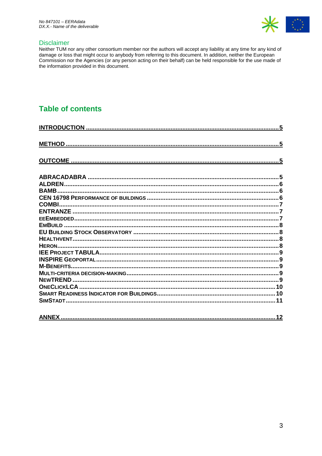

#### **Disclaimer**

Neither TUM nor any other consortium member nor the authors will accept any liability at any time for any kind of damage or loss that might occur to anybody from referring to this document. In addition, neither the European<br>Commission nor the Agencies (or any person acting on their behalf) can be held responsible for the use made of the information provided in this document.

# **Table of contents**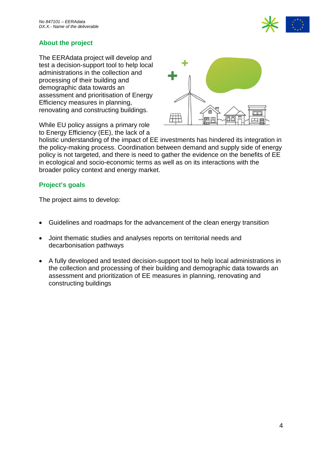

# **About the project**

The EERAdata project will develop and test a decision-support tool to help local administrations in the collection and processing of their building and demographic data towards an assessment and prioritisation of Energy Efficiency measures in planning, renovating and constructing buildings.

While EU policy assigns a primary role to Energy Efficiency (EE), the lack of a



holistic understanding of the impact of EE investments has hindered its integration in the policy-making process. Coordination between demand and supply side of energy policy is not targeted, and there is need to gather the evidence on the benefits of EE in ecological and socio-economic terms as well as on its interactions with the broader policy context and energy market.

# **Project's goals**

The project aims to develop:

- Guidelines and roadmaps for the advancement of the clean energy transition
- Joint thematic studies and analyses reports on territorial needs and decarbonisation pathways
- A fully developed and tested decision-support tool to help local administrations in the collection and processing of their building and demographic data towards an assessment and prioritization of EE measures in planning, renovating and constructing buildings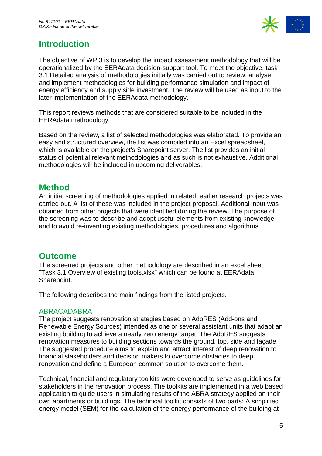

# <span id="page-4-0"></span>**Introduction**

The objective of WP 3 is to develop the impact assessment methodology that will be operationalized by the EERAdata decision-support tool. To meet the objective, task 3.1 Detailed analysis of methodologies initially was carried out to review, analyse and implement methodologies for building performance simulation and impact of energy efficiency and supply side investment. The review will be used as input to the later implementation of the EERAdata methodology.

This report reviews methods that are considered suitable to be included in the EERAdata methodology.

Based on the review, a list of selected methodologies was elaborated. To provide an easy and structured overview, the list was compiled into an Excel spreadsheet, which is available on the project's Sharepoint server. The list provides an initial status of potential relevant methodologies and as such is not exhaustive. Additional methodologies will be included in upcoming deliverables.

# <span id="page-4-1"></span>**Method**

An initial screening of methodologies applied in related, earlier research projects was carried out. A list of these was included in the project proposal. Additional input was obtained from other projects that were identified during the review. The purpose of the screening was to describe and adopt useful elements from existing knowledge and to avoid re-inventing existing methodologies, procedures and algorithms

# <span id="page-4-2"></span>**Outcome**

The screened projects and other methodology are described in an excel sheet: "Task 3.1 Overview of existing tools.xlsx" which can be found at EERAdata Sharepoint.

The following describes the main findings from the listed projects.

# <span id="page-4-3"></span>ABRACADABRA

The project suggests renovation strategies based on AdoRES (Add-ons and Renewable Energy Sources) intended as one or several assistant units that adapt an existing building to achieve a nearly zero energy target. The AdoRES suggests renovation measures to building sections towards the ground, top, side and façade. The suggested procedure aims to explain and attract interest of deep renovation to financial stakeholders and decision makers to overcome obstacles to deep renovation and define a European common solution to overcome them.

Technical, financial and regulatory toolkits were developed to serve as guidelines for stakeholders in the renovation process. The toolkits are implemented in a web based application to guide users in simulating results of the ABRA strategy applied on their own apartments or buildings. The technical toolkit consists of two parts: A simplified energy model (SEM) for the calculation of the energy performance of the building at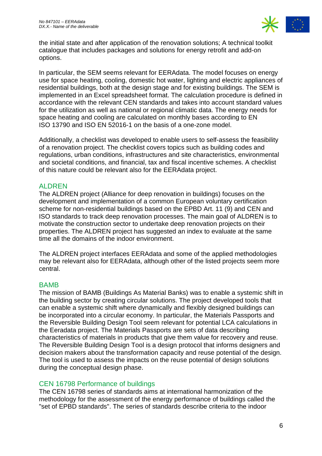

the initial state and after application of the renovation solutions; A technical toolkit catalogue that includes packages and solutions for energy retrofit and add-on options.

In particular, the SEM seems relevant for EERAdata. The model focuses on energy use for space heating, cooling, domestic hot water, lighting and electric appliances of residential buildings, both at the design stage and for existing buildings. The SEM is implemented in an Excel spreadsheet format. The calculation procedure is defined in accordance with the relevant CEN standards and takes into account standard values for the utilization as well as national or regional climatic data. The energy needs for space heating and cooling are calculated on monthly bases according to EN ISO 13790 and ISO EN 52016-1 on the basis of a one-zone model.

Additionally, a checklist was developed to enable users to self-assess the feasibility of a renovation project. The checklist covers topics such as building codes and regulations, urban conditions, infrastructures and site characteristics, environmental and societal conditions, and financial, tax and fiscal incentive schemes. A checklist of this nature could be relevant also for the EERAdata project.

# <span id="page-5-0"></span>ALDREN

The ALDREN project (Alliance for deep renovation in buildings) focuses on the development and implementation of a common European voluntary certification scheme for non-residential buildings based on the EPBD Art. 11 (9) and CEN and ISO standards to track deep renovation processes. The main goal of ALDREN is to motivate the construction sector to undertake deep renovation projects on their properties. The ALDREN project has suggested an index to evaluate at the same time all the domains of the indoor environment.

The ALDREN project interfaces EERAdata and some of the applied methodologies may be relevant also for EERAdata, although other of the listed projects seem more central.

# <span id="page-5-1"></span>BAMB

The mission of BAMB (Buildings As Material Banks) was to enable a systemic shift in the building sector by creating circular solutions. The project developed tools that can enable a systemic shift where dynamically and flexibly designed buildings can be incorporated into a circular economy. In particular, the Materials Passports and the Reversible Building Design Tool seem relevant for potential LCA calculations in the Eeradata project. The Materials Passports are sets of data describing characteristics of materials in products that give them value for recovery and reuse. The Reversible Building Design Tool is a design protocol that informs designers and decision makers about the transformation capacity and reuse potential of the design. The tool is used to assess the impacts on the reuse potential of design solutions during the conceptual design phase.

# <span id="page-5-2"></span>CEN 16798 Performance of buildings

The CEN 16798 series of standards aims at international harmonization of the methodology for the assessment of the energy performance of buildings called the "set of EPBD standards". The series of standards describe criteria to the indoor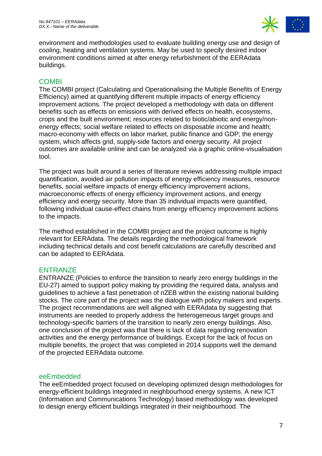

environment and methodologies used to evaluate building energy use and design of cooling, heating and ventilation systems. May be used to specify desired indoor environment conditions aimed at after energy refurbishment of the EERAdata buildings.

# <span id="page-6-0"></span>**COMBI**

The COMBI project (Calculating and Operationalising the Multiple Benefits of Energy Efficiency) aimed at quantifying different multiple impacts of energy efficiency improvement actions. The project developed a methodology with data on different benefits such as effects on emissions with derived effects on health, ecosystems, crops and the built environment; resources related to biotic/abiotic and energy/nonenergy effects; social welfare related to effects on disposable income and health; macro-economy with effects on labor market, public finance and GDP; the energy system, which affects grid, supply-side factors and energy security. All project outcomes are available online and can be analyzed via a graphic online-visualisation tool.

The project was built around a series of literature reviews addressing multiple impact quantification, avoided air pollution impacts of energy efficiency measures, resource benefits, social welfare impacts of energy efficiency improvement actions, macroeconomic effects of energy efficiency improvement actions, and energy efficiency and energy security. More than 35 individual impacts were quantified, following individual cause-effect chains from energy efficiency improvement actions to the impacts.

The method established in the COMBI project and the project outcome is highly relevant for EERAdata. The details regarding the methodological framework including technical details and cost benefit calculations are carefully described and can be adapted to EERAdata.

# <span id="page-6-1"></span>**ENTRANZE**

ENTRANZE (Policies to enforce the transition to nearly zero energy buildings in the EU-27) aimed to support policy making by providing the required data, analysis and guidelines to achieve a fast penetration of nZEB within the existing national building stocks. The core part of the project was the dialogue with policy makers and experts. The project recommendations are well aligned with EERAdata by suggesting that instruments are needed to properly address the heterogeneous target groups and technology-specific barriers of the transition to nearly zero energy buildings. Also, one conclusion of the project was that there is lack of data regarding renovation activities and the energy performance of buildings. Except for the lack of focus on multiple benefits, the project that was completed in 2014 supports well the demand of the projected EERAdata outcome.

#### <span id="page-6-2"></span>eeEmbedded

The eeEmbedded project focused on developing optimized design methodologies for energy-efficient buildings integrated in neighbourhood energy systems. A new ICT (Information and Communications Technology) based methodology was developed to design energy efficient buildings integrated in their neighbourhood. The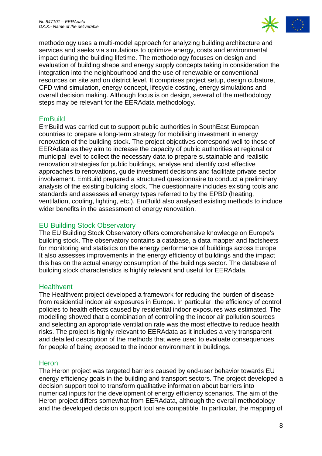

methodology uses a multi-model approach for analyzing building architecture and services and seeks via simulations to optimize energy, costs and environmental impact during the building lifetime. The methodology focuses on design and evaluation of building shape and energy supply concepts taking in consideration the integration into the neighbourhood and the use of renewable or conventional resources on site and on district level. It comprises project setup, design cubature, CFD wind simulation, energy concept, lifecycle costing, energy simulations and overall decision making. Although focus is on design, several of the methodology steps may be relevant for the EERAdata methodology.

# <span id="page-7-0"></span>**EmBuild**

EmBuild was carried out to support public authorities in SouthEast European countries to prepare a long-term strategy for mobilising investment in energy renovation of the building stock. The project objectives correspond well to those of EERAdata as they aim to increase the capacity of public authorities at regional or municipal level to collect the necessary data to prepare sustainable and realistic renovation strategies for public buildings, analyse and identify cost effective approaches to renovations, guide investment decisions and facilitate private sector involvement. EmBuild prepared a structured questionnaire to conduct a preliminary analysis of the existing building stock. The questionnaire includes existing tools and standards and assesses all energy types referred to by the EPBD (heating, ventilation, cooling, lighting, etc.). EmBuild also analysed existing methods to include wider benefits in the assessment of energy renovation.

# <span id="page-7-1"></span>EU Building Stock Observatory

The EU Building Stock Observatory offers comprehensive knowledge on Europe's building stock. The observatory contains a database, a data mapper and factsheets for monitoring and statistics on the energy performance of buildings across Europe. It also assesses improvements in the energy efficiency of buildings and the impact this has on the actual energy consumption of the buildings sector. The database of building stock characteristics is highly relevant and useful for EERAdata.

# <span id="page-7-2"></span>**Healthvent**

The Healthvent project developed a framework for reducing the burden of disease from residential indoor air exposures in Europe. In particular, the efficiency of control policies to health effects caused by residential indoor exposures was estimated. The modelling showed that a combination of controlling the indoor air pollution sources and selecting an appropriate ventilation rate was the most effective to reduce health risks. The project is highly relevant to EERAdata as it includes a very transparent and detailed description of the methods that were used to evaluate consequences for people of being exposed to the indoor environment in buildings.

# <span id="page-7-3"></span>**Heron**

The Heron project was targeted barriers caused by end-user behavior towards EU energy efficiency goals in the building and transport sectors. The project developed a decision support tool to transform qualitative information about barriers into numerical inputs for the development of energy efficiency scenarios. The aim of the Heron project differs somewhat from EERAdata, although the overall methodology and the developed decision support tool are compatible. In particular, the mapping of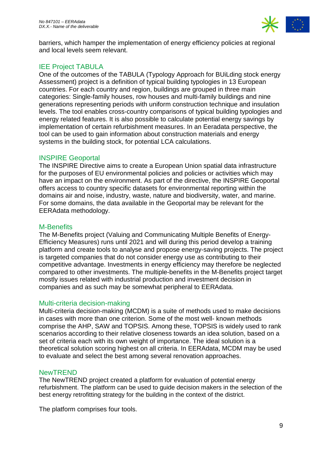

barriers, which hamper the implementation of energy efficiency policies at regional and local levels seem relevant.

# <span id="page-8-0"></span>IEE Project TABULA

One of the outcomes of the TABULA (Typology Approach for BUiLding stock energy Assessment) project is a definition of typical building typologies in 13 European countries. For each country and region, buildings are grouped in three main categories: Single-family houses, row houses and multi-family buildings and nine generations representing periods with uniform construction technique and insulation levels. The tool enables cross-country comparisons of typical building typologies and energy related features. It is also possible to calculate potential energy savings by implementation of certain refurbishment measures. In an Eeradata perspective, the tool can be used to gain information about construction materials and energy systems in the building stock, for potential LCA calculations.

# <span id="page-8-1"></span>INSPIRE Geoportal

The INSPIRE Directive aims to create a European Union spatial data infrastructure for the purposes of EU environmental policies and policies or activities which may have an impact on the environment. As part of the directive, the INSPIRE Geoportal offers access to country specific datasets for environmental reporting within the domains air and noise, industry, waste, nature and biodiversity, water, and marine. For some domains, the data available in the Geoportal may be relevant for the EERAdata methodology.

### <span id="page-8-2"></span>M-Benefits

The M-Benefits project (Valuing and Communicating Multiple Benefits of Energy-Efficiency Measures) runs until 2021 and will during this period develop a training platform and create tools to analyse and propose energy-saving projects. The project is targeted companies that do not consider energy use as contributing to their competitive advantage. Investments in energy efficiency may therefore be neglected compared to other investments. The multiple-benefits in the M-Benefits project target mostly issues related with industrial production and investment decision in companies and as such may be somewhat peripheral to EERAdata.

#### <span id="page-8-3"></span>Multi-criteria decision-making

Multi-criteria decision-making (MCDM) is a suite of methods used to make decisions in cases with more than one criterion. Some of the most well- known methods comprise the AHP, SAW and TOPSIS. Among these, TOPSIS is widely used to rank scenarios according to their relative closeness towards an idea solution, based on a set of criteria each with its own weight of importance. The ideal solution is a theoretical solution scoring highest on all criteria. In EERAdata, MCDM may be used to evaluate and select the best among several renovation approaches.

#### <span id="page-8-4"></span>NewTREND

The NewTREND project created a platform for evaluation of potential energy refurbishment. The platform can be used to guide decision makers in the selection of the best energy retrofitting strategy for the building in the context of the district.

The platform comprises four tools.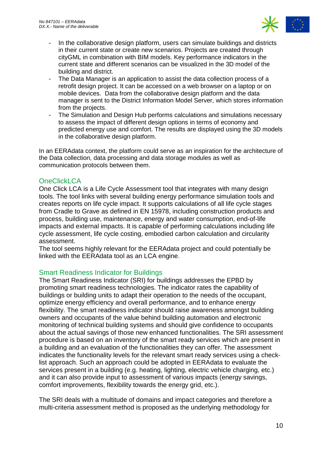

- In the collaborative design platform, users can simulate buildings and districts in their current state or create new scenarios. Projects are created through cityGML in combination with BIM models. Key performance indicators in the current state and different scenarios can be visualized in the 3D model of the building and district.
- The Data Manager is an application to assist the data collection process of a retrofit design project. It can be accessed on a web browser on a laptop or on mobile devices. Data from the collaborative design platform and the data manager is sent to the District Information Model Server, which stores information from the projects.
- The Simulation and Design Hub performs calculations and simulations necessary to assess the impact of different design options in terms of economy and predicted energy use and comfort. The results are displayed using the 3D models in the collaborative design platform.

In an EERAdata context, the platform could serve as an inspiration for the architecture of the Data collection, data processing and data storage modules as well as communication protocols between them.

#### <span id="page-9-0"></span>**OneClickLCA**

One Click LCA is a Life Cycle Assessment tool that integrates with many design tools. The tool links with several building energy performance simulation tools and creates reports on life cycle impact. It supports calculations of all life cycle stages from Cradle to Grave as defined in EN 15978, including construction products and process, building use, maintenance, energy and water consumption, end-of-life impacts and external impacts. It is capable of performing calculations including life cycle assessment, life cycle costing, embodied carbon calculation and circularity assessment.

The tool seems highly relevant for the EERAdata project and could potentially be linked with the EERAdata tool as an LCA engine.

# <span id="page-9-1"></span>Smart Readiness Indicator for Buildings

The Smart Readiness Indicator (SRI) for buildings addresses the EPBD by promoting smart readiness technologies. The indicator rates the capability of buildings or building units to adapt their operation to the needs of the occupant, optimize energy efficiency and overall performance, and to enhance energy flexibility. The smart readiness indicator should raise awareness amongst building owners and occupants of the value behind building automation and electronic monitoring of technical building systems and should give confidence to occupants about the actual savings of those new enhanced functionalities. The SRI assessment procedure is based on an inventory of the smart ready services which are present in a building and an evaluation of the functionalities they can offer. The assessment indicates the functionality levels for the relevant smart ready services using a checklist approach. Such an approach could be adopted in EERAdata to evaluate the services present in a building (e.g. heating, lighting, electric vehicle charging, etc.) and it can also provide input to assessment of various impacts (energy savings, comfort improvements, flexibility towards the energy grid, etc.).

The SRI deals with a multitude of domains and impact categories and therefore a multi-criteria assessment method is proposed as the underlying methodology for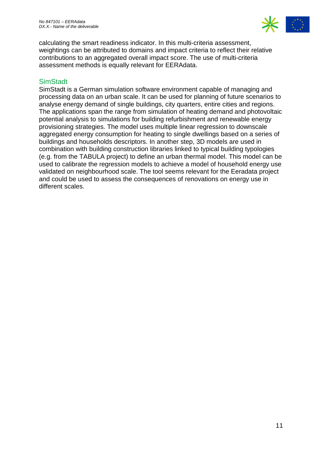

calculating the smart readiness indicator. In this multi-criteria assessment, weightings can be attributed to domains and impact criteria to reflect their relative contributions to an aggregated overall impact score. The use of multi-criteria assessment methods is equally relevant for EERAdata.

# <span id="page-10-0"></span>**SimStadt**

SimStadt is a German simulation software environment capable of managing and processing data on an urban scale. It can be used for planning of future scenarios to analyse energy demand of single buildings, city quarters, entire cities and regions. The applications span the range from simulation of heating demand and photovoltaic potential analysis to simulations for building refurbishment and renewable energy provisioning strategies. The model uses multiple linear regression to downscale aggregated energy consumption for heating to single dwellings based on a series of buildings and households descriptors. In another step, 3D models are used in combination with building construction libraries linked to typical building typologies (e.g. from the TABULA project) to define an urban thermal model. This model can be used to calibrate the regression models to achieve a model of household energy use validated on neighbourhood scale. The tool seems relevant for the Eeradata project and could be used to assess the consequences of renovations on energy use in different scales.